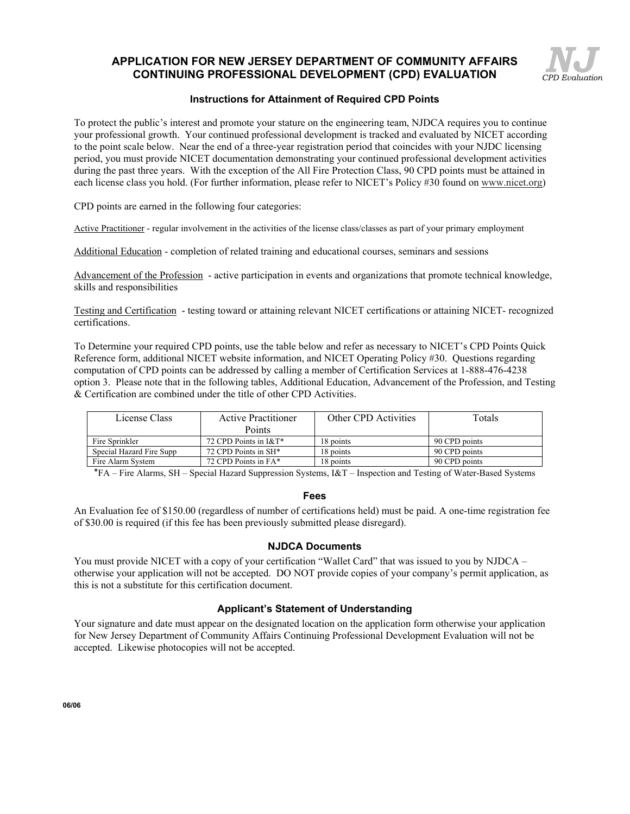## **APPLICATION FOR NEW JERSEY DEPARTMENT OF COMMUNITY AFFAIRS CONTINUING PROFESSIONAL DEVELOPMENT (CPD) EVALUATION**



### **Instructions for Attainment of Required CPD Points**

To protect the public's interest and promote your stature on the engineering team, NJDCA requires you to continue your professional growth. Your continued professional development is tracked and evaluated by NICET according to the point scale below. Near the end of a three-year registration period that coincides with your NJDC licensing period, you must provide NICET documentation demonstrating your continued professional development activities during the past three years. With the exception of the All Fire Protection Class, 90 CPD points must be attained in each license class you hold. (For further information, please refer to NICET's Policy #30 found on www.nicet.org)

CPD points are earned in the following four categories:

Active Practitioner - regular involvement in the activities of the license class/classes as part of your primary employment

Additional Education - completion of related training and educational courses, seminars and sessions

Advancement of the Profession - active participation in events and organizations that promote technical knowledge, skills and responsibilities

Testing and Certification - testing toward or attaining relevant NICET certifications or attaining NICET- recognized certifications.

To Determine your required CPD points, use the table below and refer as necessary to NICET's CPD Points Quick Reference form, additional NICET website information, and NICET Operating Policy #30. Questions regarding computation of CPD points can be addressed by calling a member of Certification Services at 1-888-476-4238 option 3. Please note that in the following tables, Additional Education, Advancement of the Profession, and Testing & Certification are combined under the title of other CPD Activities.

| License Class            | <b>Active Practitioner</b>       | Other CPD Activities | Totals        |  |
|--------------------------|----------------------------------|----------------------|---------------|--|
|                          | Points                           |                      |               |  |
| Fire Sprinkler           | 72 CPD Points in I&T*            | 18 points            | 90 CPD points |  |
| Special Hazard Fire Supp | 72 CPD Points in SH <sup>*</sup> | 18 points            | 90 CPD points |  |
| Fire Alarm System        | 72 CPD Points in FA*             | 18 points            | 90 CPD points |  |

 $*FA$  – Fire Alarms, SH – Special Hazard Suppression Systems, I&T – Inspection and Testing of Water-Based Systems

#### **Fees**

An Evaluation fee of \$150.00 (regardless of number of certifications held) must be paid. A one-time registration fee of \$30.00 is required (if this fee has been previously submitted please disregard).

#### **NJDCA Documents**

You must provide NICET with a copy of your certification "Wallet Card" that was issued to you by NJDCA  $$ otherwise your application will not be accepted. DO NOT provide copies of your company's permit application, as this is not a substitute for this certification document.

### **Applicant's Statement of Understanding**

Your signature and date must appear on the designated location on the application form otherwise your application for New Jersey Department of Community Affairs Continuing Professional Development Evaluation will not be accepted. Likewise photocopies will not be accepted.